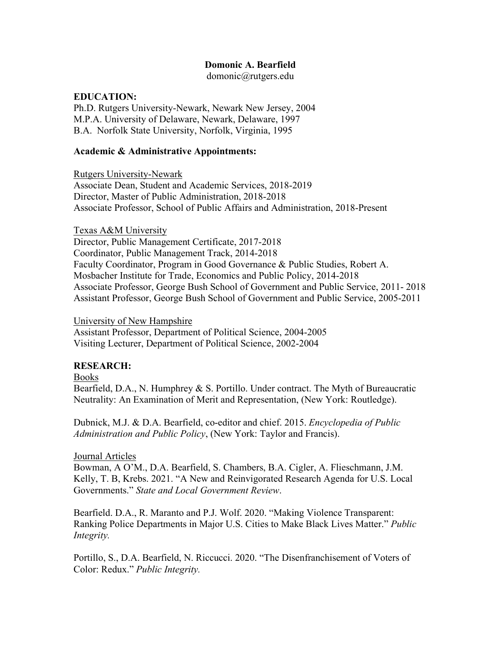## **Domonic A. Bearfield**

domonic@rutgers.edu

#### **EDUCATION:**

Ph.D. Rutgers University-Newark, Newark New Jersey, 2004 M.P.A. University of Delaware, Newark, Delaware, 1997 B.A. Norfolk State University, Norfolk, Virginia, 1995

#### **Academic & Administrative Appointments:**

Rutgers University-Newark Associate Dean, Student and Academic Services, 2018-2019 Director, Master of Public Administration, 2018-2018 Associate Professor, School of Public Affairs and Administration, 2018-Present

Texas A&M University Director, Public Management Certificate, 2017-2018 Coordinator, Public Management Track, 2014-2018 Faculty Coordinator, Program in Good Governance & Public Studies, Robert A. Mosbacher Institute for Trade, Economics and Public Policy, 2014-2018 Associate Professor, George Bush School of Government and Public Service, 2011- 2018 Assistant Professor, George Bush School of Government and Public Service, 2005-2011

University of New Hampshire

Assistant Professor, Department of Political Science, 2004-2005 Visiting Lecturer, Department of Political Science, 2002-2004

### **RESEARCH:**

Books

Bearfield, D.A., N. Humphrey & S. Portillo. Under contract. The Myth of Bureaucratic Neutrality: An Examination of Merit and Representation, (New York: Routledge).

Dubnick, M.J. & D.A. Bearfield, co-editor and chief. 2015. *Encyclopedia of Public Administration and Public Policy*, (New York: Taylor and Francis).

#### Journal Articles

Bowman, A O'M., D.A. Bearfield, S. Chambers, B.A. Cigler, A. Flieschmann, J.M. Kelly, T. B, Krebs. 2021. "A New and Reinvigorated Research Agenda for U.S. Local Governments." *State and Local Government Review*.

Bearfield. D.A., R. Maranto and P.J. Wolf. 2020. "Making Violence Transparent: Ranking Police Departments in Major U.S. Cities to Make Black Lives Matter." *Public Integrity.*

Portillo, S., D.A. Bearfield, N. Riccucci. 2020. "The Disenfranchisement of Voters of Color: Redux." *Public Integrity.*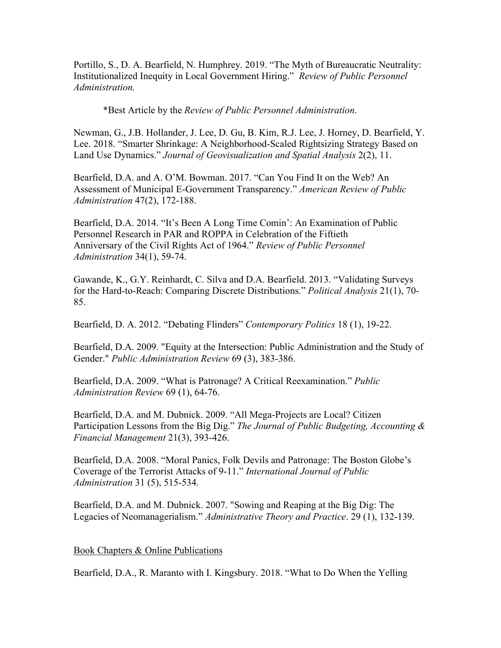Portillo, S., D. A. Bearfield, N. Humphrey. 2019. "The Myth of Bureaucratic Neutrality: Institutionalized Inequity in Local Government Hiring." *Review of Public Personnel Administration.*

\*Best Article by the *Review of Public Personnel Administration*.

Newman, G., J.B. Hollander, J. Lee, D. Gu, B. Kim, R.J. Lee, J. Horney, D. Bearfield, Y. Lee. 2018. "Smarter Shrinkage: A Neighborhood-Scaled Rightsizing Strategy Based on Land Use Dynamics." *Journal of Geovisualization and Spatial Analysis* 2(2), 11.

Bearfield, D.A. and A. O'M. Bowman. 2017. "Can You Find It on the Web? An Assessment of Municipal E-Government Transparency." *American Review of Public Administration* 47(2), 172-188.

Bearfield, D.A. 2014. "It's Been A Long Time Comin': An Examination of Public Personnel Research in PAR and ROPPA in Celebration of the Fiftieth Anniversary of the Civil Rights Act of 1964." *Review of Public Personnel Administration* 34(1), 59-74.

Gawande, K., G.Y. Reinhardt, C. Silva and D.A. Bearfield. 2013. "Validating Surveys for the Hard-to-Reach: Comparing Discrete Distributions." *Political Analysis* 21(1), 70- 85.

Bearfield, D. A. 2012. "Debating Flinders" *Contemporary Politics* 18 (1), 19-22.

Bearfield, D.A. 2009. "Equity at the Intersection: Public Administration and the Study of Gender." *Public Administration Review* 69 (3), 383-386.

Bearfield, D.A. 2009. "What is Patronage? A Critical Reexamination." *Public Administration Review* 69 (1), 64-76.

Bearfield, D.A. and M. Dubnick. 2009. "All Mega-Projects are Local? Citizen Participation Lessons from the Big Dig." *The Journal of Public Budgeting, Accounting & Financial Management* 21(3), 393-426.

Bearfield, D.A. 2008. "Moral Panics, Folk Devils and Patronage: The Boston Globe's Coverage of the Terrorist Attacks of 9-11." *International Journal of Public Administration* 31 (5), 515-534*.*

Bearfield, D.A. and M. Dubnick. 2007. "Sowing and Reaping at the Big Dig: The Legacies of Neomanagerialism." *Administrative Theory and Practice*. 29 (1), 132-139.

#### Book Chapters & Online Publications

Bearfield, D.A., R. Maranto with I. Kingsbury. 2018. "What to Do When the Yelling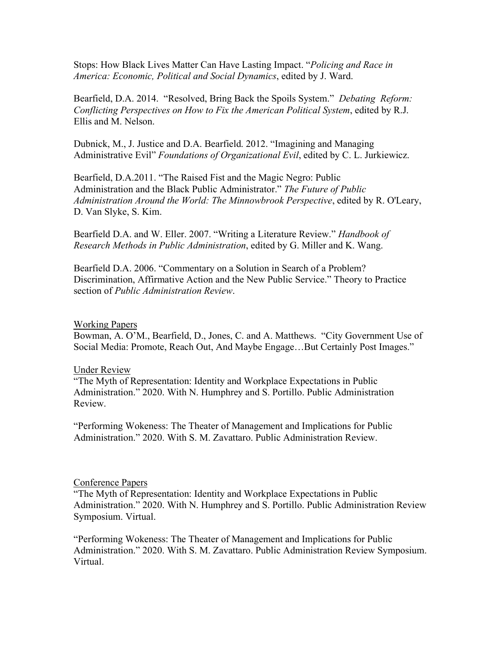Stops: How Black Lives Matter Can Have Lasting Impact. "*Policing and Race in America: Economic, Political and Social Dynamics*, edited by J. Ward.

Bearfield, D.A. 2014. "Resolved, Bring Back the Spoils System." *Debating Reform: Conflicting Perspectives on How to Fix the American Political System*, edited by R.J. Ellis and M. Nelson.

Dubnick, M., J. Justice and D.A. Bearfield. 2012. "Imagining and Managing Administrative Evil" *Foundations of Organizational Evil*, edited by C. L. Jurkiewicz.

Bearfield, D.A.2011. "The Raised Fist and the Magic Negro: Public Administration and the Black Public Administrator." *The Future of Public Administration Around the World: The Minnowbrook Perspective*, edited by R. O'Leary, D. Van Slyke, S. Kim.

Bearfield D.A. and W. Eller. 2007. "Writing a Literature Review." *Handbook of Research Methods in Public Administration*, edited by G. Miller and K. Wang.

Bearfield D.A. 2006. "Commentary on a Solution in Search of a Problem? Discrimination, Affirmative Action and the New Public Service." Theory to Practice section of *Public Administration Review*.

#### Working Papers

Bowman, A. O'M., Bearfield, D., Jones, C. and A. Matthews. "City Government Use of Social Media: Promote, Reach Out, And Maybe Engage…But Certainly Post Images."

#### Under Review

"The Myth of Representation: Identity and Workplace Expectations in Public Administration." 2020. With N. Humphrey and S. Portillo. Public Administration Review.

"Performing Wokeness: The Theater of Management and Implications for Public Administration." 2020. With S. M. Zavattaro. Public Administration Review.

#### Conference Papers

"The Myth of Representation: Identity and Workplace Expectations in Public Administration." 2020. With N. Humphrey and S. Portillo. Public Administration Review Symposium. Virtual.

"Performing Wokeness: The Theater of Management and Implications for Public Administration." 2020. With S. M. Zavattaro. Public Administration Review Symposium. Virtual.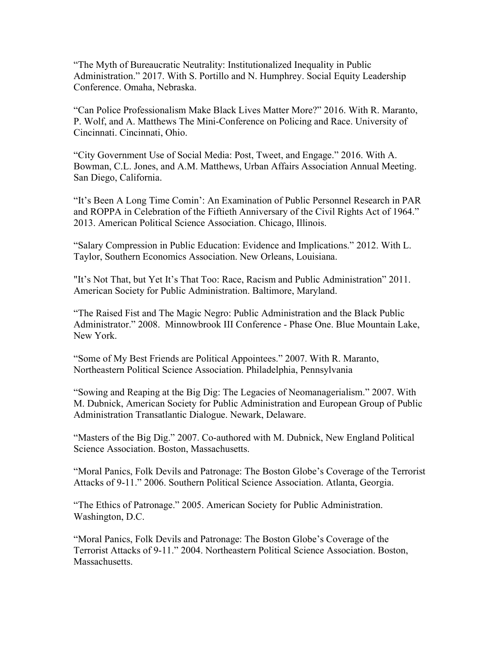"The Myth of Bureaucratic Neutrality: Institutionalized Inequality in Public Administration." 2017. With S. Portillo and N. Humphrey. Social Equity Leadership Conference. Omaha, Nebraska.

"Can Police Professionalism Make Black Lives Matter More?" 2016. With R. Maranto, P. Wolf, and A. Matthews The Mini-Conference on Policing and Race. University of Cincinnati. Cincinnati, Ohio.

"City Government Use of Social Media: Post, Tweet, and Engage." 2016. With A. Bowman, C.L. Jones, and A.M. Matthews, Urban Affairs Association Annual Meeting. San Diego, California.

"It's Been A Long Time Comin': An Examination of Public Personnel Research in PAR and ROPPA in Celebration of the Fiftieth Anniversary of the Civil Rights Act of 1964." 2013. American Political Science Association. Chicago, Illinois.

"Salary Compression in Public Education: Evidence and Implications." 2012. With L. Taylor, Southern Economics Association. New Orleans, Louisiana.

"It's Not That, but Yet It's That Too: Race, Racism and Public Administration" 2011. American Society for Public Administration. Baltimore, Maryland.

"The Raised Fist and The Magic Negro: Public Administration and the Black Public Administrator." 2008. Minnowbrook III Conference - Phase One. Blue Mountain Lake, New York.

"Some of My Best Friends are Political Appointees." 2007. With R. Maranto, Northeastern Political Science Association. Philadelphia, Pennsylvania

"Sowing and Reaping at the Big Dig: The Legacies of Neomanagerialism." 2007. With M. Dubnick, American Society for Public Administration and European Group of Public Administration Transatlantic Dialogue. Newark, Delaware.

"Masters of the Big Dig." 2007. Co-authored with M. Dubnick, New England Political Science Association. Boston, Massachusetts.

"Moral Panics, Folk Devils and Patronage: The Boston Globe's Coverage of the Terrorist Attacks of 9-11." 2006. Southern Political Science Association. Atlanta, Georgia.

"The Ethics of Patronage." 2005. American Society for Public Administration. Washington, D.C.

"Moral Panics, Folk Devils and Patronage: The Boston Globe's Coverage of the Terrorist Attacks of 9-11." 2004. Northeastern Political Science Association. Boston, Massachusetts.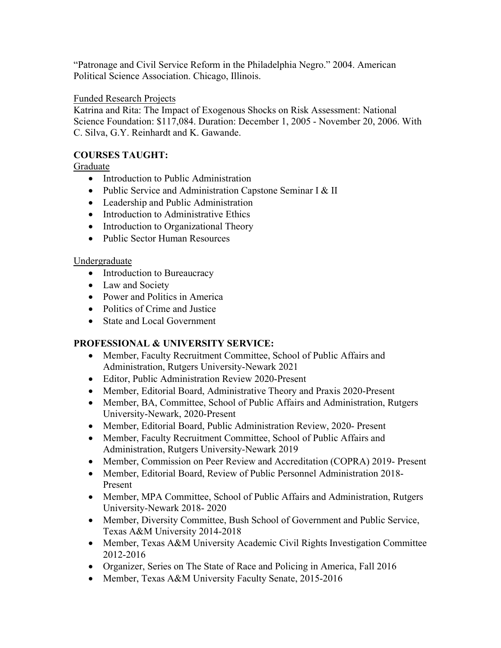"Patronage and Civil Service Reform in the Philadelphia Negro." 2004. American Political Science Association. Chicago, Illinois.

## Funded Research Projects

Katrina and Rita: The Impact of Exogenous Shocks on Risk Assessment: National Science Foundation: \$117,084. Duration: December 1, 2005 - November 20, 2006. With C. Silva, G.Y. Reinhardt and K. Gawande.

# **COURSES TAUGHT:**

Graduate

- Introduction to Public Administration
- Public Service and Administration Capstone Seminar I & II
- Leadership and Public Administration
- Introduction to Administrative Ethics
- Introduction to Organizational Theory
- Public Sector Human Resources

## Undergraduate

- Introduction to Bureaucracy
- Law and Society
- Power and Politics in America
- Politics of Crime and Justice
- State and Local Government

# **PROFESSIONAL & UNIVERSITY SERVICE:**

- Member, Faculty Recruitment Committee, School of Public Affairs and Administration, Rutgers University-Newark 2021
- Editor, Public Administration Review 2020-Present
- Member, Editorial Board, Administrative Theory and Praxis 2020-Present
- Member, BA, Committee, School of Public Affairs and Administration, Rutgers University-Newark, 2020-Present
- Member, Editorial Board, Public Administration Review, 2020- Present
- Member, Faculty Recruitment Committee, School of Public Affairs and Administration, Rutgers University-Newark 2019
- Member, Commission on Peer Review and Accreditation (COPRA) 2019-Present
- Member, Editorial Board, Review of Public Personnel Administration 2018- Present
- Member, MPA Committee, School of Public Affairs and Administration, Rutgers University-Newark 2018- 2020
- Member, Diversity Committee, Bush School of Government and Public Service, Texas A&M University 2014-2018
- Member, Texas A&M University Academic Civil Rights Investigation Committee 2012-2016
- Organizer, Series on The State of Race and Policing in America, Fall 2016
- Member, Texas A&M University Faculty Senate, 2015-2016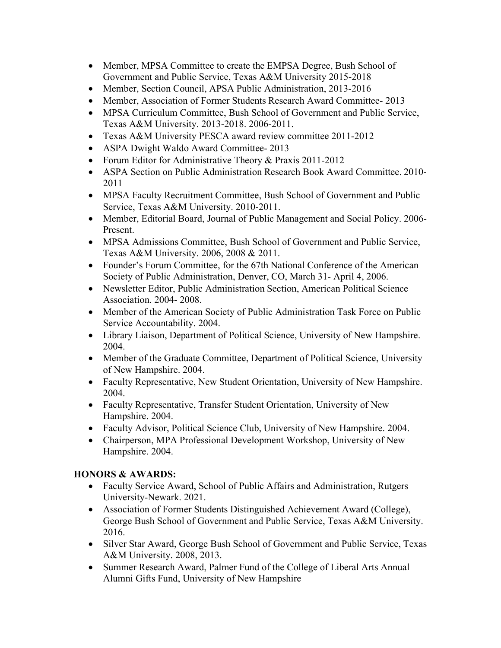- Member, MPSA Committee to create the EMPSA Degree, Bush School of Government and Public Service, Texas A&M University 2015-2018
- Member, Section Council, APSA Public Administration, 2013-2016
- Member, Association of Former Students Research Award Committee-2013
- MPSA Curriculum Committee, Bush School of Government and Public Service, Texas A&M University. 2013-2018. 2006-2011.
- Texas A&M University PESCA award review committee 2011-2012
- ASPA Dwight Waldo Award Committee- 2013
- Forum Editor for Administrative Theory & Praxis 2011-2012
- ASPA Section on Public Administration Research Book Award Committee. 2010- 2011
- MPSA Faculty Recruitment Committee, Bush School of Government and Public Service, Texas A&M University. 2010-2011.
- Member, Editorial Board, Journal of Public Management and Social Policy. 2006- Present.
- MPSA Admissions Committee, Bush School of Government and Public Service, Texas A&M University. 2006, 2008 & 2011.
- Founder's Forum Committee, for the 67th National Conference of the American Society of Public Administration, Denver, CO, March 31- April 4, 2006.
- Newsletter Editor, Public Administration Section, American Political Science Association. 2004- 2008.
- Member of the American Society of Public Administration Task Force on Public Service Accountability. 2004.
- Library Liaison, Department of Political Science, University of New Hampshire. 2004.
- Member of the Graduate Committee, Department of Political Science, University of New Hampshire. 2004.
- Faculty Representative, New Student Orientation, University of New Hampshire. 2004.
- Faculty Representative, Transfer Student Orientation, University of New Hampshire. 2004.
- Faculty Advisor, Political Science Club, University of New Hampshire. 2004.
- Chairperson, MPA Professional Development Workshop, University of New Hampshire. 2004.

# **HONORS & AWARDS:**

- Faculty Service Award, School of Public Affairs and Administration, Rutgers University-Newark. 2021.
- Association of Former Students Distinguished Achievement Award (College), George Bush School of Government and Public Service, Texas A&M University. 2016.
- Silver Star Award, George Bush School of Government and Public Service, Texas A&M University. 2008, 2013.
- Summer Research Award, Palmer Fund of the College of Liberal Arts Annual Alumni Gifts Fund, University of New Hampshire